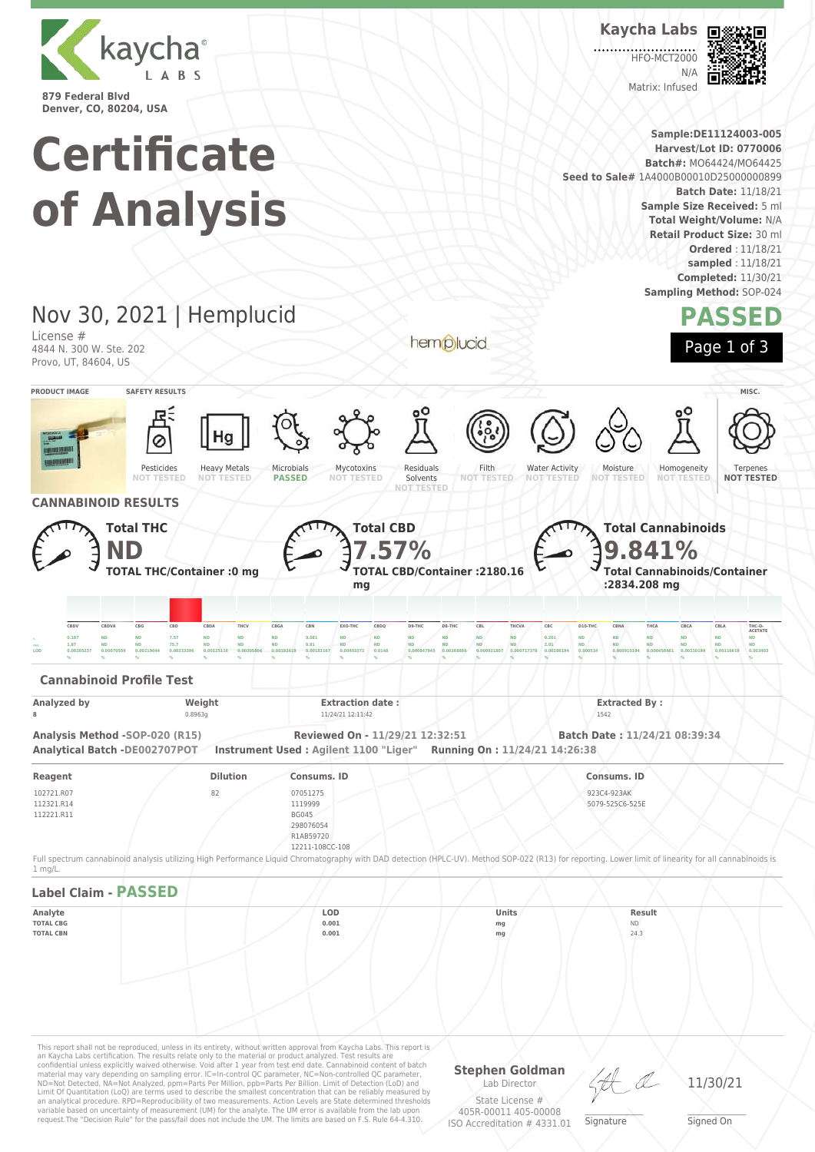

**Kaycha Labs**

**HEO-MCT2000** 

 $N/L$ Matrix: Infused



**Sample:DE11124003-005 Certificate Harvest/Lot ID: 0770006 Batch#:** MO64424/MO64425 **Seed to Sale#** 1A4000B00010D25000000899 **Batch Date:** 11/18/21 **of Analysis Sample Size Received:** 5 ml **Total Weight/Volume:** N/A **Retail Product Size:** 30 ml **Ordered** : 11/18/21 **sampled** : 11/18/21 **Completed:** 11/30/21 **Sampling Method:** SOP-024 Nov 30, 2021 | Hemplucid **PASSED** License # hemplucid Page 1 of 3 4844 N. 300 W. Ste. 202 Provo, UT, 84604, US **PRODUCT IMAGE SAFETY RESULTS MISC.** Pesticides Heavy Metals Microbials Mycotoxins Residuals Filth Water Activity Moisture Homogeneity Terpenes **NOT TESTED NOT TESTED NOT TESTED NOT TESTED PASSED NOT TESTED** Solvents **NOT NOT TESTED NOT TESTED NOT TESTED CANNABINOID RESULTS Total CBD Total THC Total Cannabinoids ND 7.57% 9.841% TOTAL CBD/Container :2180.16 Total Cannabinoids/Container TOTAL THC/Container :0 mg :2834.208 mg mg** CBDV CBDVA CBG CBD CBDA THCV CBGA CBN EXO-THC CBDQ D9-THC D8-THC CBL THCVA CBC D10-THC CBNA THCA CBCA CBLA THC-O **ACETATE** , 0.187 ND ND 7.57 ND ND ND 0.081 ND ND ND ND ND ND ND 0.201 ND ND ND ND ND ND ND <sub>====</sub> 1.87 ND ND 75.7 ND ND ND 0.81 ND ND ND ND ND ND ND 2.01 ND ND ND ND ND ND ND  $\,$ 0.00265237 0.00070559 0.00219044 0.00333396 0.00125116 0.00205806 0.00192419 0.00183167 0.00401072 0.0148 0.000847945 0.000847945 0.000921807 0.000911378 0.00268194 0.000534 0.000910194 0.000458461 0.00210199 0.001466 **% % % % % % % % % % % % % % % % % % % % % Cannabinoid Profile Test Analyzed by Weight Extraction date : Extraction date : Extracted By : Extracted By : Extracted By** : **8** 0.8963g 11/24/21 12:11:42 1542 **Analysis Method -SOP-020 (R15) Reviewed On - 11/29/21 12:32:51 Batch Date : 11/24/21 08:39:34 Analytical Batch -DE002707POT Instrument Used : Agilent 1100 "Liger" Running On : 11/24/21 14:26:38 Reagent Dilution Consums. ID Consums. ID** 102721.R07 82 07051275 923C4-923AK 112321.R14 1119999 5079-525C6-525E 112221.R11 BG045 298076054 **R1AB59720** 12211-108CC-108 Full spectrum cannabinoid analysis utilizing High Performance Liquid Chromatography with DAD detection (HPLC-UV). Method SOP-022 (R13) for reporting. Lower limit of linearity for all cannabinoids is 1 mg/L. **Label Claim - PASSED Analyte LOD Units Result TOTAL CBG 0.001 mg** ND **TOTAL CBN 0.001 mg** 24.3This report shall not be reproduced, unless in its entirety, without written approval from Kaycha Labs. This report is<br>an Kaycha Labs certification. The results relate only to the material or product analyzed. Test results

material may vary depending on sampling error. IC=In-control QC parameter, NC=Non-controlled QC parameter,<br>ND=Not Detected, NA=Not Analyzed, ppm=Parts Per Million, ppb=Parts Per Billion. Limit of Detection (LoD) and<br>Limit an analytical procedure. RPD=Reproducibility of two measurements. Action Levels are State determined thresholds variable based on uncertainty of measurement (UM) for the analyte. The UM error is available from the lab upon request.The "Decision Rule" for the pass/fail does not include the UM. The limits are based on F.S. Rule 64-4.310.

**Stephen Goldman** Lab Director

 $\_\_\_\_\_\_\_\_\_\_\_\_\_\_$ **Signature** 

11/30/21

State License # 405R-00011 405-00008 ISO Accreditation # 4331.01

Signed On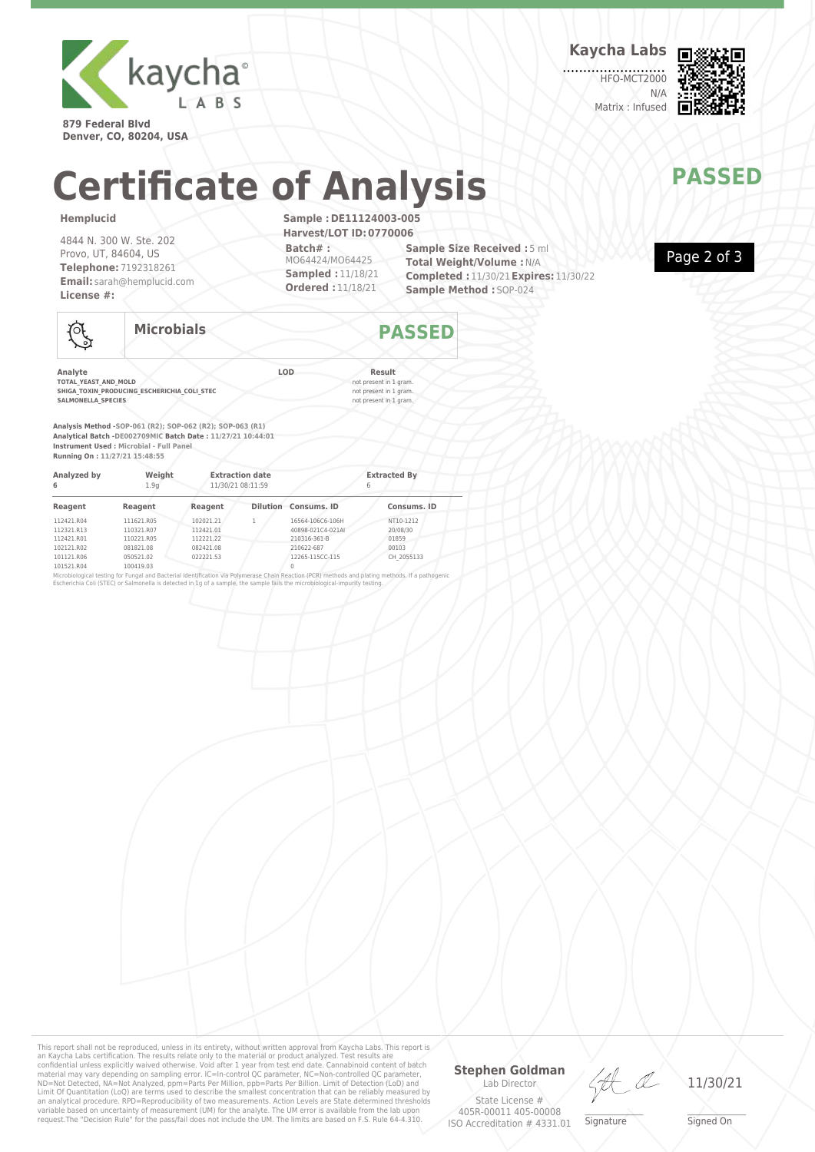

**879 Federal Blvd Denver, CO, 80204, USA** **Kaycha Labs**

HFO-MCT2000 N/A Matrix : Infused



# **Certificate of Analysis MANAIPASSED**

### **Hemplucid**

101521.R04

4844 N. 300 W. Ste. 202 Provo, UT, 84604, US **Telephone:** 7192318261 **Email:** sarah@hemplucid.com **License #:**

**Sample :DE11124003-005 Harvest/LOT ID:0770006 Batch# :** MO64424/MO64425 **Sampled :** 11/18/21 **Ordered :** 11/18/21

**Sample Size Received :** 5 ml **Total Weight/Volume :**N/A **Completed :** 11/30/21**Expires:** 11/30/22 **Sample Method :** SOP-024



| $\Lambda$<br>. 01 | <b>Microbials</b> |     | <b>PASSED</b> |  |
|-------------------|-------------------|-----|---------------|--|
| Analyte           |                   | LOD | <b>Result</b> |  |

**TOTAL\_YEAST\_AND\_MOLD**<br> **SHIGA\_TOXIN\_PRODUCING\_ESCHERICHIA\_COLL\_STEC**<br>
SALMONELLA SPECIES<br>
not present in 1 gram. **SHIGA\_TOXIN\_PRODUCING\_ESCHERICHIA\_COLI\_STEC** not present in 1 gram. **SALMONELLA\_SPECIES** not present in 1 gram.

100419.03

**Analysis Method -SOP-061 (R2); SOP-062 (R2); SOP-063 (R1) Analytical Batch -DE002709MIC Batch Date : 11/27/21 10:44:01 Instrument Used : Microbial - Full Panel Running On : 11/27/21 15:48:55**

| Analyzed by<br>6<br>Reagent | Weight<br>1.9 <sub>0</sub> | <b>Extraction date</b><br>11/30/21 08:11:59 |  |                                       | <b>Extracted By</b><br>6 |  |
|-----------------------------|----------------------------|---------------------------------------------|--|---------------------------------------|--------------------------|--|
|                             | Reagent                    | Reagent                                     |  | <b>Dilution</b> Consums, ID           | Consums, ID              |  |
| 112421.R04<br>112321.R13    | 111621.R05<br>110321.R07   | 102021.21<br>112421.01                      |  | 16564-106C6-106H<br>40898-021C4-021AI | NT10-1212<br>20/08/30    |  |
| 112421.R01                  | 110221.R05                 | 112221.22                                   |  | 210316-361-B                          | 01859                    |  |
| 102121.R02                  | 081821.08                  | 082421.08                                   |  | 210622-687                            | 00103                    |  |
| 101121.R06                  | 050521.02                  | 022221.53                                   |  | 12265-115CC-115                       | CH 2055133               |  |

Microbiological testing for Fungal and Bacterial Identification via Polymerase Chain Reaction (PCR) methods and plating methods. If a pathogenic<br>Escherichia Coli (STEC) or Salmonella is detected in 1g of a sample, the samp

This report shall not be reproduced, unless in its entirety, without written approval from Kaycha Labs. This report is<br>an Kaycha Labs certification. The results relate only to the materal or product analyzed. Test results an analytical procedure. RPD=Reproducibility of two measurements. Action Levels are State determined thresholds<br>variable based on uncertainty of measurement (UM) for the analyte. The UM error is available from the lab upon

### **Stephen Goldman**

Lab Director State License # 405R-00011 405-00008 ISO Accreditation # 4331.01

LA

 $\_\_\_\_\_\_\_\_\_\_\_\_\_\_$ **Signature** 

11/30/21

\_\_\_\_\_\_\_\_\_\_\_\_\_\_\_\_\_\_\_ Signed On